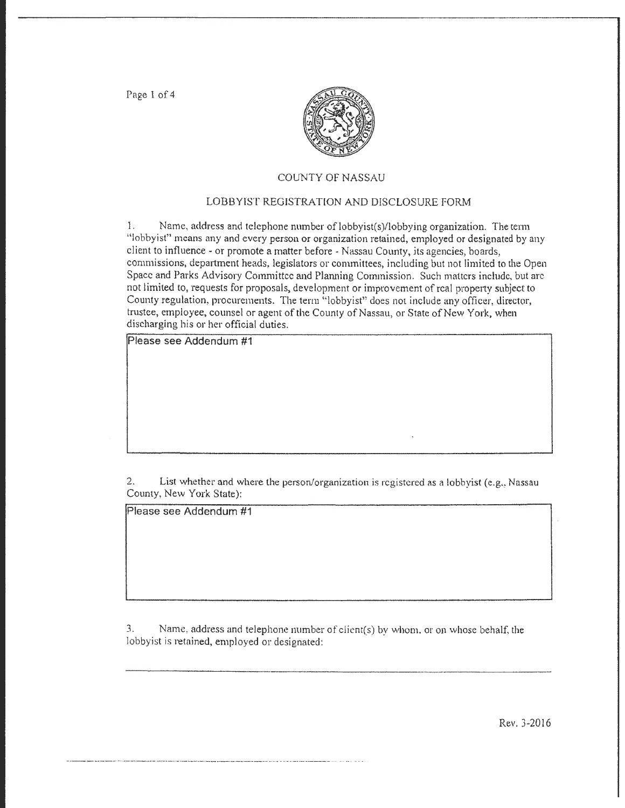Page 1 of 4



## COUNTY OF NASSAU

# LOBBYIST REGISTRATION AND DISCLOSURE FORM

1. Name, address and telephone number oflobbyist(s)/lobbying organization. The term "lobbyist" means any and every person or organization retained, employed or designated by any client to influence - or promote a matter before -Nassau County, its agencies, boards, commissions, department heads, legislators or committees, including but not limited to the Open Space and Parks Advisory Committee and Planning Commission. Such matters include, but arc not limited to, requests for proposals, development or improvement of real property subject to County regulation, procurements. The term "lobbyist" does not include any officer, director, trustee, employee, counsel or agent of the County of Nassau, or State of New York, when discharging his or her official duties.

Please see Addendum #1

2. List whether and where the person/organization is registered as a lobbyist (e.g., Nassau County, New York State):

Please see Addendum #1

3. Name, address and telephone number of client(s) by whom. or on whose behalf, the lobbyist is retained, employed or designated:

Rev. 3-2016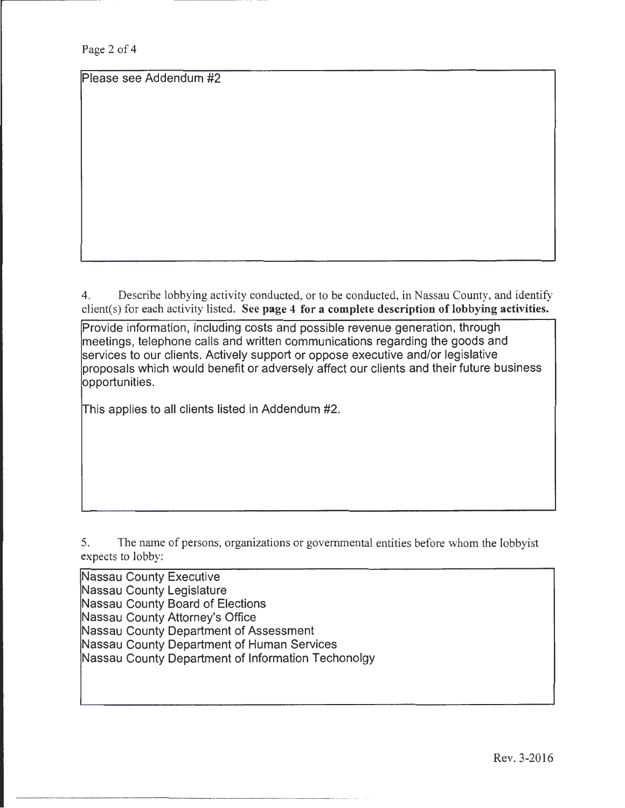Page 2 of 4

Please see Addendum #2

4. Describe lobbying activity conducted, or to be conducted, in Nassau County, and identify client(s) for each activity listed. See page 4 for a complete description of lobbying activities.

Provide information, including costs and possible revenue generation, through meetings, telephone calls and written communications regarding the goods and services to our clients. Actively support or oppose executive and/or legislative proposals which would benefit or adversely affect our clients and their future business opportunities.

This applies to all clients listed in Addendum #2.

5. The name of persons, organizations or governmental entities before whom the lobbyist expects to lobby:

Nassau County Executive Nassau County Legislature Nassau County Board of Elections Nassau County Attorney's Office Nassau County Department of Assessment Nassau County Department of Human Services Nassau County Department of Information Techonolgy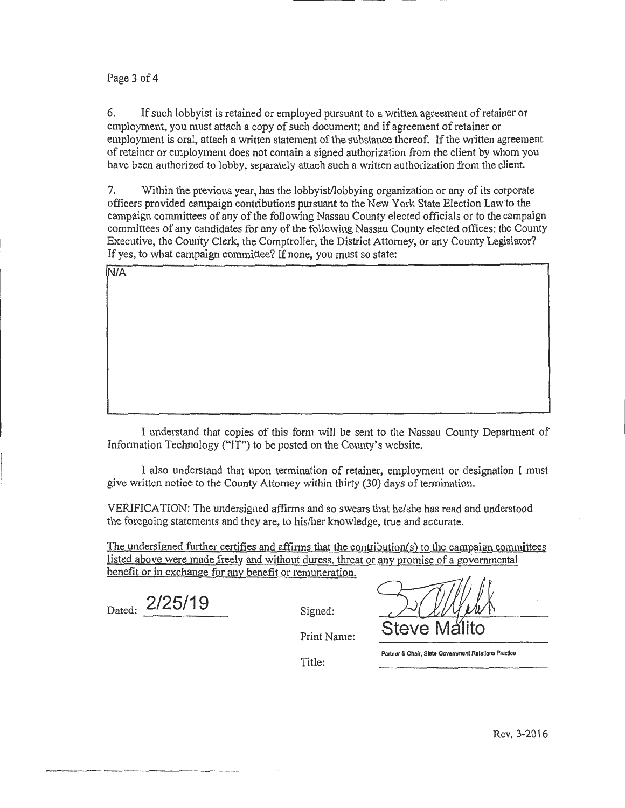## Page 3 of 4

6. If such lobbyist is retained or employed pursuant to a written agreement of retainer or employment, you must attach a copy of such document; and if agreement of retainer or employment is oral, attach a written statement of the substance thereof. lfthe written agreement of retainer or employment does not contain a signed authorization from the client by whom you have been authorized to lobby, separately attach such a written authorization from the client.

7. Within the previous year, has the lobbyist/lobbying organization or any of its corporate officers provided campaign contributions pursuant to the New York State Election Law to the campaign committees of any of the following Nassau County elected officials or to the campaign committees of any candidates for any of the following Nassau County elected offices: the County Executive, the County Clerk, the Comptroller, the District Attorney, or any County Legislator? If yes, to what campaign committee? If none, you must so state:

N/A

I understand that copies of this form will be sent to the Nassau County Department of Information Technology ("IT") to be posted on the County's website.

I also understand that upon termination of retainer, employment or designation I must give written notice to the County Attorney within thirty (30) days of termination.

VERIFICATION: The undersigned affirms and so swears that he/she has read and understood the foregoing statements and they are, to his/her knowledge, true and accurate.

The undersigned further certifies and affirms that the contribution(s) to the campaign committees listed above were made freely and without duress. threat or any promise of a governmental benefit or in exchange for any benefit or remuneration.

Dated: **2/25/19** Signed:

 $P_{\text{rint Name:}}$  Steve N

Partner & Chair, State Government Relations Practice

Title: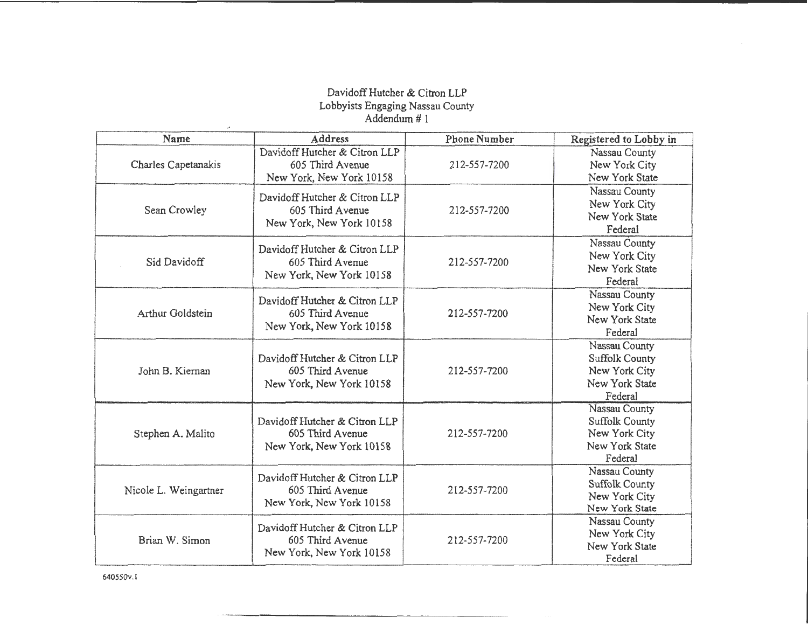# DavidoffHutcher & Citron LLP Lobbyists Engaging Nassau County Addendum# 1

| Name                  | Address                                                                       | <b>Phone Number</b> | Registered to Lobby in                                                               |
|-----------------------|-------------------------------------------------------------------------------|---------------------|--------------------------------------------------------------------------------------|
| Charles Capetanakis   | Davidoff Hutcher & Citron LLP<br>605 Third Avenue<br>New York, New York 10158 | 212-557-7200        | Nassau County<br>New York City<br>New York State                                     |
| Sean Crowley          | Davidoff Hutcher & Citron LLP<br>605 Third Avenue<br>New York, New York 10158 | 212-557-7200        | Nassau County<br>New York City<br>New York State<br>Federal                          |
| Sid Davidoff          | Davidoff Hutcher & Citron LLP<br>605 Third Avenue<br>New York, New York 10158 | 212-557-7200        | Nassau County<br>New York City<br>New York State<br>Federal                          |
| Arthur Goldstein      | Davidoff Hutcher & Citron LLP<br>605 Third Avenue<br>New York, New York 10158 | 212-557-7200        | Nassau County<br>New York City<br>New York State<br>Federal                          |
| John B. Kiernan       | Davidoff Hutcher & Citron LLP<br>605 Third Avenue<br>New York, New York 10158 | 212-557-7200        | Nassau County<br><b>Suffolk County</b><br>New York City<br>New York State<br>Federal |
| Stephen A. Malito     | Davidoff Hutcher & Citron LLP<br>605 Third Avenue<br>New York, New York 10158 | 212-557-7200        | Nassau County<br><b>Suffolk County</b><br>New York City<br>New York State<br>Federal |
| Nicole L. Weingartner | Davidoff Hutcher & Citron LLP<br>605 Third Avenue<br>New York, New York 10158 | 212-557-7200        | Nassau County<br>Suffolk County<br>New York City<br>New York State                   |
| Brian W. Simon        | Davidoff Hutcher & Citron LLP<br>605 Third Avenue<br>New York, New York 10158 | 212-557-7200        | Nassau County<br>New York City<br>New York State<br>Federal                          |

640550v.l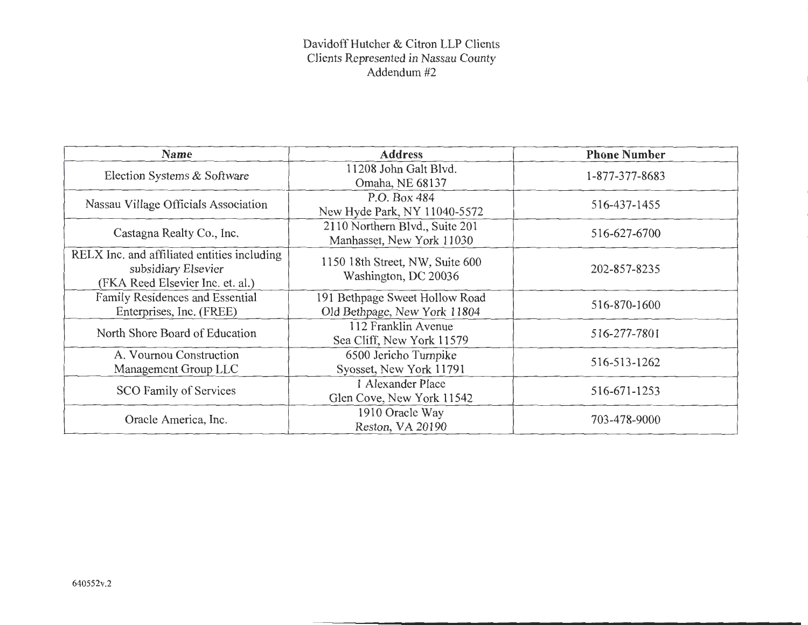# Davidoff Hutcher & Citron LLP Clients Clients Represented in Nassau County Addendum #2

| Name                                                                                                   | <b>Address</b>                                                 | <b>Phone Number</b> |
|--------------------------------------------------------------------------------------------------------|----------------------------------------------------------------|---------------------|
| Election Systems & Software                                                                            | 11208 John Galt Blvd.<br>Omaha, NE 68137                       | 1-877-377-8683      |
| Nassau Village Officials Association                                                                   | P.O. Box 484<br>New Hyde Park, NY 11040-5572                   | 516-437-1455        |
| Castagna Realty Co., Inc.                                                                              | 2110 Northern Blvd., Suite 201<br>Manhasset, New York 11030    | 516-627-6700        |
| RELX Inc. and affiliated entities including<br>subsidiary Elsevier<br>(FKA Reed Elsevier Inc. et. al.) | 1150 18th Street, NW, Suite 600<br>Washington, DC 20036        | 202-857-8235        |
| Family Residences and Essential<br>Enterprises, Inc. (FREE)                                            | 191 Bethpage Sweet Hollow Road<br>Old Bethpage, New York 11804 | 516-870-1600        |
| North Shore Board of Education                                                                         | 112 Franklin Avenue<br>Sea Cliff, New York 11579               | 516-277-7801        |
| A. Vournou Construction<br>Management Group LLC                                                        | 6500 Jericho Turnpike<br>Syosset, New York 11791               | 516-513-1262        |
| SCO Family of Services                                                                                 | 1 Alexander Place<br>Glen Cove, New York 11542                 | 516-671-1253        |
| Oracle America, Inc.                                                                                   | 1910 Oracle Way<br>Reston, VA 20190                            | 703-478-9000        |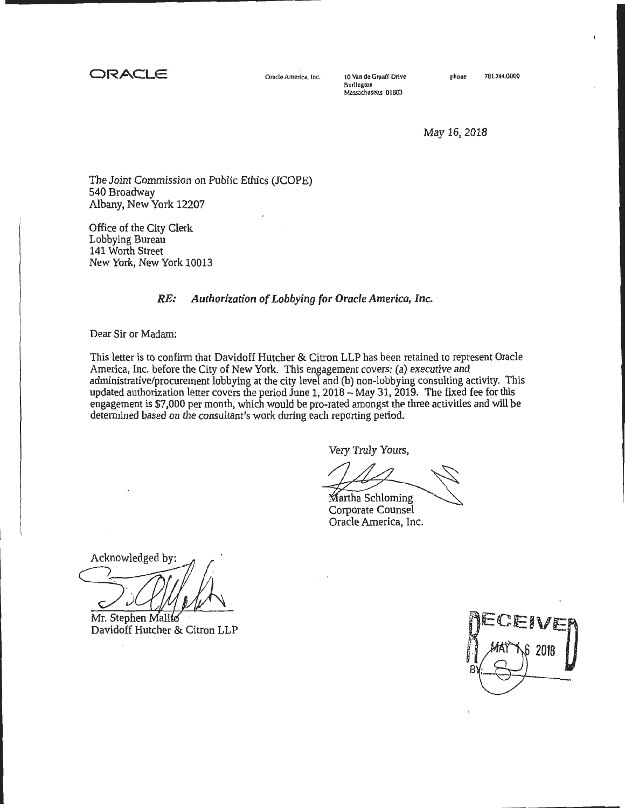**ORACLE'** Orad• America, Inc.

10 Van de Graaff Drive Burlingron Massachusetts 01603

May 16,2018

The Joint Commission on Public Ethics (JCOPE) 540 Broadway Albany, New York 12207

Office of the City Clerk Lobbying Bureau 141 Worth Street New York, New York 10013

# *RE: Authorization of Lobbying for Oracle America, Inc.*

Dear Sir or Madam:

This letter is to confinn that Davidoff Hutcher & Citron LLP has been retained to represent Oracle America, Inc. before the City of New York. This engagement covers: (a) executive and administrative/procurement lobbying at the city level and (b) non-lobbying consulting activity. This updated authorization letter covers the period June 1, 2018- May 31, 2019. The fixed fee for this engagement is \$7,000 per month, which would be pro-rated amongst the three activities and will be determined based on the consultant's work during each reporting period.

Very Truly Yours,

artha Schloming

Corporate Counsel Oracle America, Inc.

Mr. Stephen Malito<br>Davidoff Hutcher & Citron LLP

Davidoff Hutcher & Citron LLP

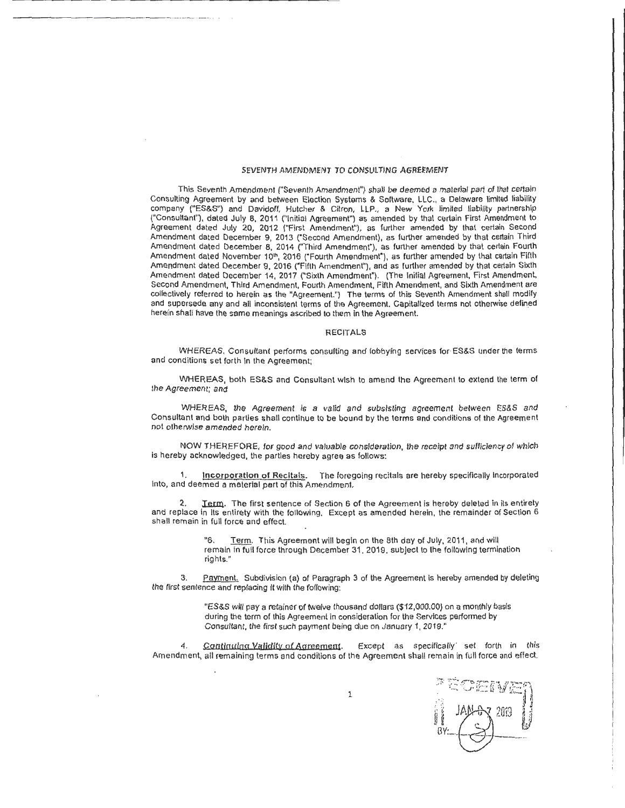#### SEVENTH AMENDMENT TO CONSULTING AGREEMENT

------------- ---------- ----·· .

This Seventh Amendment ("Seventh Amendment") shall be deemed a material part of that certain Consulting Agreement by and between Election Systems & Software, LLC .. a Delaware limited liability company ("ES&S") and Davidoff, Hutcher & Citron, LLP., a New York limited liability partnership {"Consultant"), dated July 8, 2011 ("Initial Agreement") as amended by that certain First Amendment to Agreement dated July 20, 2012 {"First Amendment"), as further amended by that certain Second Amendment dated December 9, 2013 ("Second Amendment), as further amended by that certain Third Amendment dated December 8, 2014 ("Third Amendment"), as further amended by that certain Fourth Amendment dated November 10ʰ, 2016 ("Fourth Amendment"), as further amended by that certain Fifth-Amendment dated December 9, 2016 ("Fifth Amendment"), and as further amended by that certain Sixth Amendment dated December 14, 2017 ("Sixth Amendment"). (The Initial Agreement, First Amendment, Second Amendment, Third Amendment, Fourth Amendment, Fifth Amendment, and Sixth Amendment are collectively referred to herein as the "Agreement.") The terms of this Seventh Amendment shall modify and supersede any and all inconsistent terms of the Agreement. Capitalized terms not otherwise defined herein shall have the same meanings ascribed to them in the Agreement.

#### RECITALS

WHEREAS, Consultant performs consulting and lobbying services for ES&S under the terms and conditions set forth in the Agreement;

WHEREAS, both ES&S and Consultant wish to amend the Agreement to extend the term of the Agreement; and

WHEREAS, the Agreement is a valid and subsisting agreement between ES&S and Consultant and both parties shall continue to be bound by the terms and conditions of the Agreement not otherwise amended herein.

NOW THEREFORE, for good and valuable consideration, the receipt and sufficiency or which is hereby acknowledged, the parties hereby agree as follows:

1. Incorporation of Recitals. The foregoing recitals are hereby specifically incorporated Into, and deemed a material pert of this Amendment.

2. Jerm. The first sentence of Section 6 of the Agreement is hereby deleted in its entirety and replace in Its entirety with the following. Except as amended herein, the remainder of Section 6 shall remain in full force and effect.

> "6. Term. This Agreement will begin on the 8th day of July, 2011, and will remain in full force through December 31 , 2019, subject to the following termination rights."

3. Payment. Subdivision (a) of Paragraph 3 of the Agreement is hereby amended by deleting the first sentence and replacing It with the following:

> "ES&S will pay a retainer of twelve thousand dollars (\$12,000.00) on a monthly basis during the term of this Agreement in consideration for the Services performed by Consultant, the first such payment being due on January 1, 2019."

Continuing Validity of Agreement. Except as specifically set forth in this Amendment, all remaining terms and conditions or the Agreement shall remain in full force and effect.

7 2019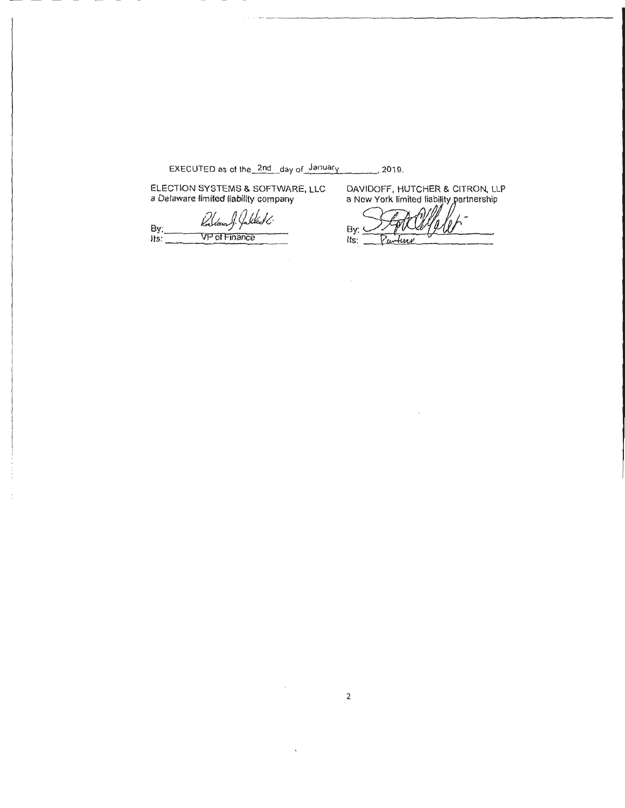EXECUTED as of the\_2nd\_day of January 2019.

 $\sim$ 

ELECTION SYSTEMS & SOFTWARE, LLC a Delaware limited liability company

Jakkat 6. kal By: VP of Finance  $Its:$ 

DAVIDOFF, HUTCHER & CITRON, LLP a New York limited liability partnership

 $\overline{1}$ By: Parting  $Its:$ 

 $\bar{\beta}$ 

 $\mathcal{L}_{\mathcal{A}}$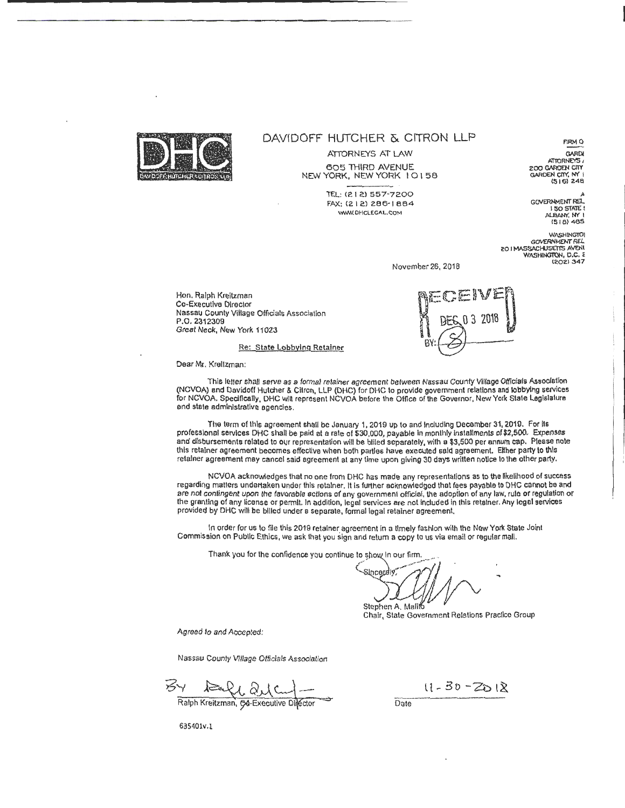

# DAVIDOFF HUTCHER & CITRON LLP

ATTORNEYS AT LAW 605 THIRD AVENUE NEW YORK, NEW YORK I 0 I 58

> 'TEL: (2 I 2) 557-7200 FAX: (212) 286-1884 WWW. OHCLEGAL.COM

**GARDI ATTORNEYS** 200 GARDEN CITY  $(516)$  248

flRMO

GOVERNMENT REL ALBANY, NY I 1518)-465

**WASHINGTOI** GOVERNMENT REL 20 I MASSACHUSETTS AVENI<br>WASHINGTON, D.C. E (202) 347

November 26, 2018

Hon. Ralph Kreitzman Co-Executive Director Nassau County Village Officials Association P.O. 2312309 Great Neck, New York 11023



Re: State lobbying Retainer

Dear Mr. Kreltzman:

This letter shall serve as a formal retainer agreement between Nassau County Village Officials Association (NCVOA) and Davidoff Hutcher & Citron, LLP (DHC) for DHC to provide government relallons and lobbying services for NCVOA. Specifically, DHC will represent NCVOA before the Office of the Governor, New York Stale Legislature and state administrative agencies.

The term of this agreement shall be January 1, 2019 up to and Including December 31,2019. For its professional services DHC shall be paid at a rate of \$30,000, payable In monthly Installments of \$2,500. Expenses and disbursements related to our representation will be billed separately, with a \$3,500 per annum cap. Please note this retainer agreement becomes effective when both parties have executed said agreement. Either party to this retainer agreement may cancel said agreement at any time upon giving 30 days written notice to the other party.

NCVOA acknowledges that no one from DHC has made any representations as to the likelihood of success regarding matters undertaken under this retainer. It is further acknowledged that fees payable to DHC cannot be and are not contingent upon the favorable actions of any government official, the adoption of any law, rule or regulation or the granting of any license or permit. In addilion, legal services are not Included in this retainer. Any legal services provided by DHC will be billed under a separate, formal legal retainer agreement.

In order for us to file this 2019 retainer agreement in a timely fashion with the New York State Joint Commission on Public Ethics , we ask that you sign and return a copy to us via email or regular mall.

Thank you for the confidence you continue to show in our firm.

Sinceraly / Stephen A. Malito

Chair, State Government Relations Practice Group

Agreed to and Accepted:

Nassau County VIllage Officials Association

Hele 21 and Company Date<br>Ralph Kreitzman, G4-Executive Difector

 $11 - 30 - 2018$ 

635401v.l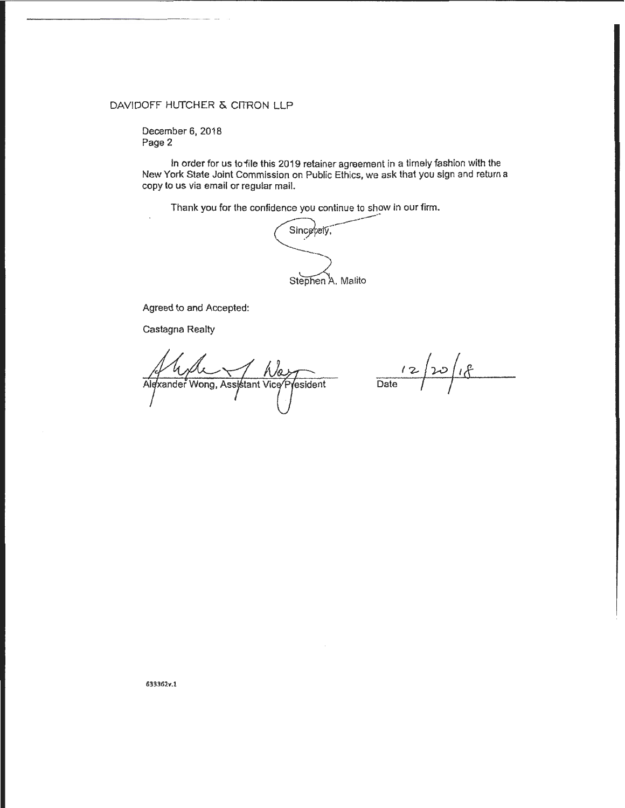# DAVIDOFF HUTCHER & CITRON LLP

December 6, 2018 Page 2

In order for us to "file this 2019 retainer agreement in a timely fashion with the New York State Joint Commission on Public Ethics, we ask that you sign and return a copy to us via email or regular mail.

Thank you for the confidence you continue to show in our firm.

Sincerely, --- Stephen A. Malito

Agreed to and Accepted:

Castagna Realty

Alexander Wong, Assistant Vice resident

 $\frac{12}{\text{Date}}$ 

633362v.1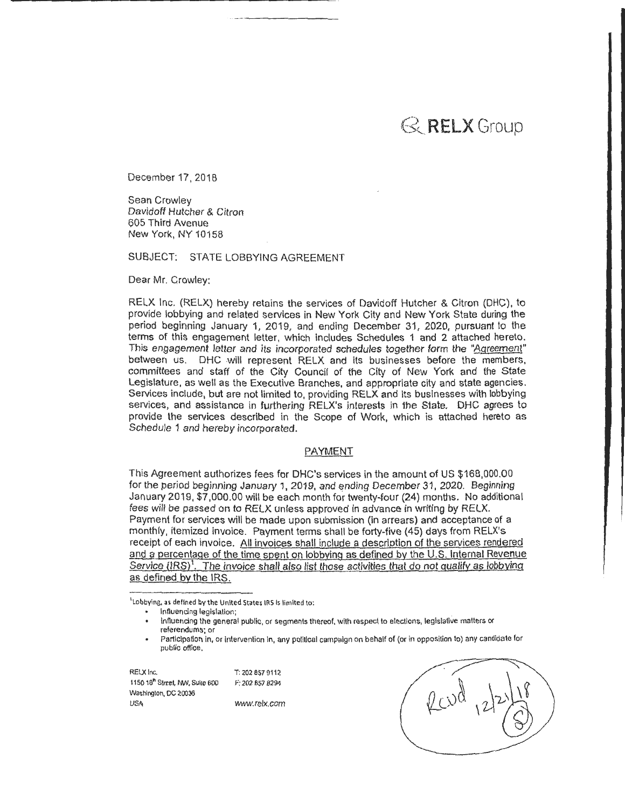# $\mathbb{R}$  RELX Group

December 17, 2018

Sean Crowley Davidoff Hutcher & Citron 605 Third Avenue New York, NY 10158

SUBJECT: STATE LOBBYING AGREEMENT

Dear Mr. Crowley:

RELX Inc. (RELX) hereby retains the services of Davidoff Hutcher & Citron (DHC), to provide lobbying and related services in New York City and New York State during the period beginning January 1, 2019, and ending December 31, 2020, pursuant to the terms of this engagement letter, which includes Schedules 1 and 2 attached hereto. This engagement letter and its incorporated schedules together form the "Agreement" between us. DHC will represent RELX and its businesses before the members, committees and staff of the City Council of the City of New York and the State Legislature, as well as the Executive Branches, and appropriate city and state agencies. Services include, but are not limited to, providing RELX and its businesses with lobbying services, and assistance in furthering RELX's interests in the State. DHC agrees to provide the services described in the Scope of Work, which is attached hereto as Schedule 1 and hereby incorporated.

## PAYMENT

This Agreement authorizes fees for DHC's services in the amount of US \$168,000.00 for the period beginning January 1, 2019, and ending December 31, 2020. Beginning January 2019,\$7,000.00 will be each month for twenty-four (24) months. No additional fees will be passed on to RELX unless approved in advance in writing by RELX. Payment for services will be made upon submission (in arrears) and acceptance of a monthly, itemized invoice. Payment terms shall be forty-five (45) days from RELX's receipt of each invoice. All invoices shall include a description of the services rendered and a percentage of the time spent on lobbying as defined by the U.S. Internal Revenue Service (IRS)<sup>1</sup>. The invoice shall also list those activities that do not qualify as lobbying as defined by the IRS.

'Lobbying, as defined by the United States IRS Is limited to:

Participation in, or intervention in, any political campaign on behalf of (or in opposition to) any candidate for public office.

RELX Inc. T: 202 857 9112 1150 18<sup>h</sup> Street, NW, Suite 600 F: 202 857 8294 Washington, DC 20036 USA WWW.relx.com

lnfluendng legislation; .

lnfluendng the general public, or segments thereof, with respect to elections, legislative matters or referendums; or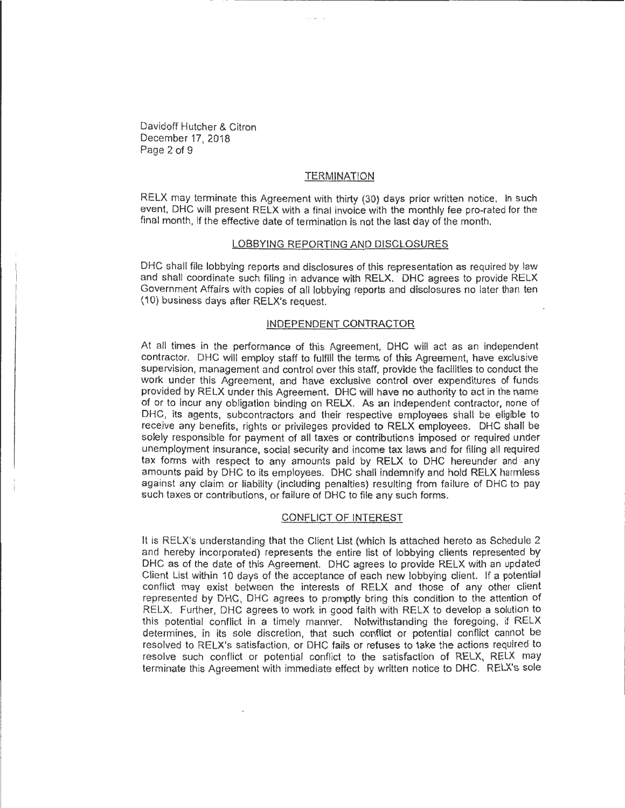Davidoff Hutcher & Citron December 17, 2018 Page 2 of 9

## **TERMINATION**

RELX may terminate this Agreement with thirty (30) days prior written notice. In such event, DHC will present RELX with a final invoice with the monthly fee pro-rated for the final month, if the effective date of termination is not the last day of the month.

#### LOBBYING REPORTING AND DISCLOSURES

DHC shall file lobbying reports and disclosures of this representation as required by law and shall coordinate such filing in advance with RELX. DHC agrees to provide RELX Government Affairs with copies of all lobbying reports and disclosures no later than ten (10) business days after RELX's request.

#### INDEPENDENT CONTRACTOR

At all times in the performance of this Agreement, DHC will act as an independent contractor. DHC will employ staff to fulfill the terms of this Agreement, have exclusive supervision, management and control over this staff, provide the facilities to conduct the work under this Agreement, and have exclusive control over expenditures of funds provided by RELX under this Agreement. DHC will have no authority to act in the name of or to incur any obligation binding on RELX. As an independent contractor, none of DHC, its agents, subcontractors and their respective employees shall be eligible to receive any benefits, rights or privileges provided to RELX employees. DHC shall be solely responsible for payment of all taxes or contributions imposed or required under unemployment insurance, social security and income tax laws and for filing all required tax forms with respect to any amounts paid by RELX to DHC hereunder and any amounts paid by DHC to its employees. DHC shall indemnify and hold RELX harmless against any claim or liability (including penalties) resulting from failure of DHC to pay such taxes or contributions, or failure of DHC to file any such forms.

#### CONFLICT OF INTEREST

It is RELX's understanding that the Client List (which is attached hereto as Schedule 2 and hereby incorporated) represents the entire list of lobbying clients represented by DHC as of the date of this Agreement. DHC agrees to provide RELX with an updated Client List within 10 days of the acceptance of each new lobbying client. If a potential conflict may exist between the interests of RELX and those of any other client represented by DHC, DHC agrees to promptly bring this condition to the attention of RELX. Further, DHC agrees to work in good faith with RELX to develop a solution to this potential conflict in a timely manner. Notwithstanding the foregoing, if RELX determines, in its sole discretion, that such conflict or potential conflict cannot be resolved to RELX's satisfaction, or DHC fails or refuses to take the actions required to resolve such conflict or potential conflict to the satisfaction of RELX, RELX may terminate this Agreement with immediate effect by written notice to DHC. RELX's sole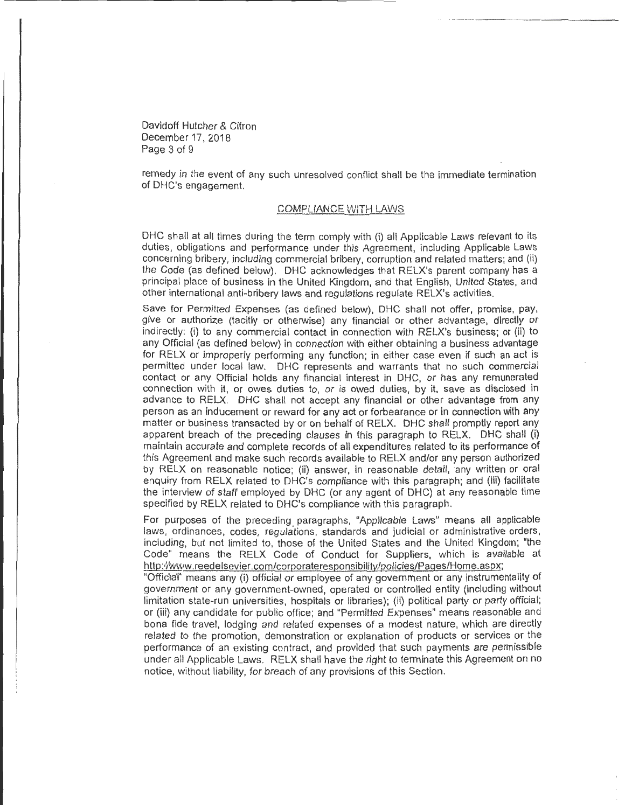Davidoff Hutcher & Citron December 17, 2018 Page 3 of 9

remedy in the event of any such unresolved conflict shall be the immediate termination of DHC's engagement.

## COMPLIANCE VVITH LAWS

DHC shall at all times during the term comply with (i) all Applicable Laws relevant to its duties, obligations and performance under this Agreement, including Applicable Laws concerning bribery, including commercial bribery, corruption and related matters; and (ii) the Code (as defined below). DHC acknowledges that RELX's parent company has a principal place of business in the United Kingdom, and that English, United States, and other international anti-bribery laws and regulations regulate RELX's activities.

Save for Permitted Expenses (as defined below), DHC shall not offer, promise, pay, give or authorize (tacitly or otherwise) any financial or other advantage, directly or indirectly: (i) to any commercial contact in connection with RELX's business; or (ii) to any Official (as defined below) in connection with either obtaining a business advantage for RELX or improperly performing any function; in either case even if such an act is permitted under local law. DHC represents and warrants that no such commercial contact or any Official holds any financial interest in DHC, or has any remunerated connection with it, or owes duties to, or is owed duties, by it, save as disclosed in advance to RELX. DHC shall not accept any financial or other advantage from any person as an inducement or reward for any act or forbearance or in connection with any matter or business transacted by or on behalf of RELX. DHC shall promptly report any apparent breach of the preceding clauses in this paragraph to RELX. DHC shall (i) maintain accurate and complete records of all expenditures related to its performance of this Agreement and make such records available to RELX and/or any person authorized by RELX on reasonable notice; (ii) answer, in reasonable detail, any written or oral enquiry from RELX related to DHC's compliance with this paragraph; and (iii) facilitate the interview of staff employed by DHC (or any agent of DHC) at any reasonable time specified by RELX related to DHC's compliance with this paragraph.

For purposes of the preceding paragraphs, "Applicable Laws" means all applicable laws, ordinances, codes, regulations, standards and judicial or administrative orders, including, but not limited to, those of the United States and the United Kingdom; "the Code" means the RELX Code of Conduct for Suppliers. which is available at http:.'/www.reedelsevier.com/corporateresponsibility/policies/Pages/Home.aspx;

"Official" means any (i) official or employee of any government or any instrumentality of government or any government-owned, operated or controlled entity (including without limitation state-run universities, hospitals or libraries); (ii) political party or party official; or (iii) any candidate for public office; and "Permitted Expenses" means reasonable and bona fide travel, lodging and related expenses of a modest nature, which are directly related to the promotion, demonstration or explanation of products or services or the performance of an existing contract, and provided that such payments are permissible under all Applicable Laws. RELX shall have the right to terminate this Agreement on no notice, without liability, for breach of any provisions of this Section.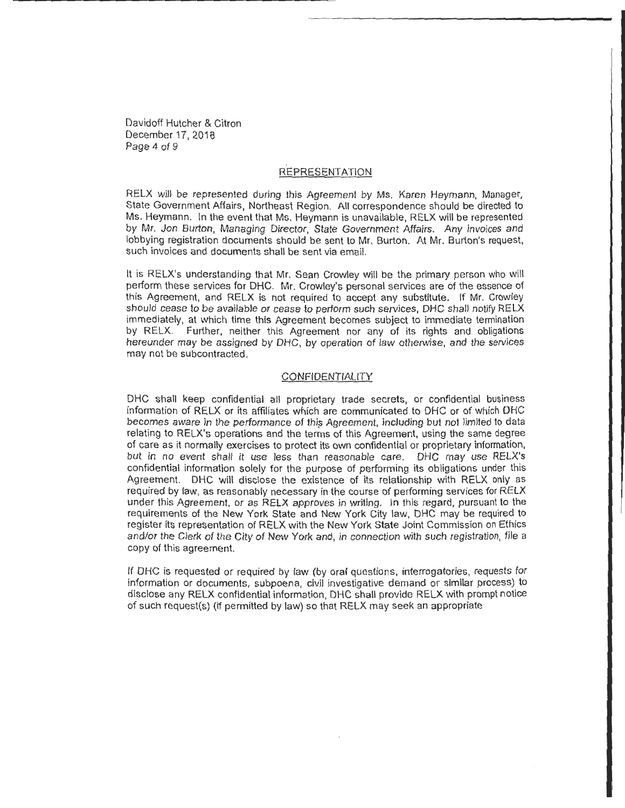Davidoff Hutcher & Citron December 17, 2018 Page 4 of 9

## REPRESENTATION

RELX will be represented during this Agreement by Ms. Karen Heymann, Manager, State Government Affairs, Northeast Region. All correspondence should be directed to Ms. Heymann. In the event that Ms. Heymann is unavailable, RELX will be represented by Mr. Jon Burton, Managing Director, State Government Affairs. Any invoices and lobbying registration documents should be sent to Mr. Burton. At Mr. Burton's request, such invoices and documents shall be sent via email.

It is RELX's understanding that Mr. Sean Crowley will be the primary person who will perform these services for DHC. Mr. Crowley's personal services are of the essence of this Agreement, and RELX is not required to accept any substitute. If Mr. Crowley should cease to be available or cease to perform such services, DHC shall notify RELX immediately, at which time this Agreement becomes subject to immediate termination by RELX. Further, neither this Agreement nor any of its rights and obligations hereunder may be assigned by DHC, by operation of law otherwise, and the services may not be subcontracted.

#### **CONFIDENTIALITY**

DHC shall keep confidential all proprietary trade secrets, or confidential business information of RELX or its affiliates which are communicated to DHC or of which DHC becomes aware in the performance of this Agreement, including but not limited to data relating to RELX's operations and the terms of this Agreement, using the same degree of care as it normally exercises to protect its own confidential or proprietary information, but in no event shall it use less than reasonable care. DHC may use RELX's confidential information solely for the purpose of performing its obligations under this Agreement. DHC will disclose the existence of its relationship with RELX only as required by law, as reasonably necessary in the course of performing services for RELX under this Agreement, or as RELX approves in writing. In this regard, pursuant to the requirements of the New York State and New York City law, OHC may be required to register its representation of RELX with the New York State Joint Commission on Ethics and/or the Clerk of the City of New York and, in connection with such registration, file a copy of this agreement.

If DHC is requested or required by law (by oral questions, interrogatories, requests for information or documents, subpoena, civil investigative demand or similar process) to disclose any RELX confidential information, DHC shall provide RELX with prompt notice of such request(s) (if permitted by law) so that RELX may seek an appropriate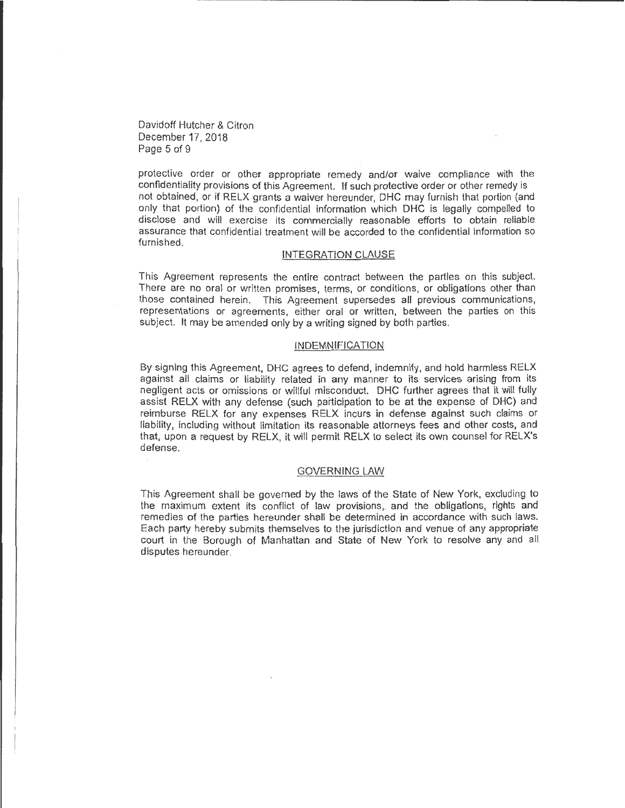Davidoff Hutcher & Citron December 17, 2018 Page 5 of 9

protective order or other appropriate remedy and/or waive compliance with the confidentiality provisions of this Agreement. If such protective order or other remedy is not obtained, or if RELX grants a waiver hereunder, DHC may furnish that portion (and only that portion) of the confidential information which DHC is legally compelled to disclose and will exercise its commercially reasonable efforts to obtain reliable assurance that confidential treatment will be accorded to the confidential information so furnished.

#### INTEGRATION CLAUSE

This Agreement represents the entire contract between the parties on this subject. There are no oral or written promises, terms, or conditions, or obligations other than those contained herein. This Agreement supersedes all previous communications, representations or agreements, either oral or written, between the parties on this subject. It may be amended only by a writing signed by both parties.

#### INDEMNIFICATION

By signing this Agreement, DHC agrees to defend, indemnify, and hold harmless RELX against all claims or liability related in any manner to its services arising from its negligent acts or omissions or willful misconduct. DHC further agrees that it will fully assist RELX with any defense (such participation to be at the expense of DHC) and reimburse RELX for any expenses RELX incurs in defense against such claims or liability, including without limitation its reasonable attorneys fees and other costs, and that, upon a request by RELX, it will permit RELX to select its own counsel for RELX's defense.

## GOVERNING LAW

This Agreement shall be governed by the laws of the State of New York, excluding to the maximum extent its conflict of law provisions, and the obligations, rights and remedies of the parties hereunder shall be determined in accordance with such laws. Each party hereby submits themselves to the jurisdiction and venue of any appropriate court in the Borough of Manhattan and State of New York to resolve any and all disputes hereunder.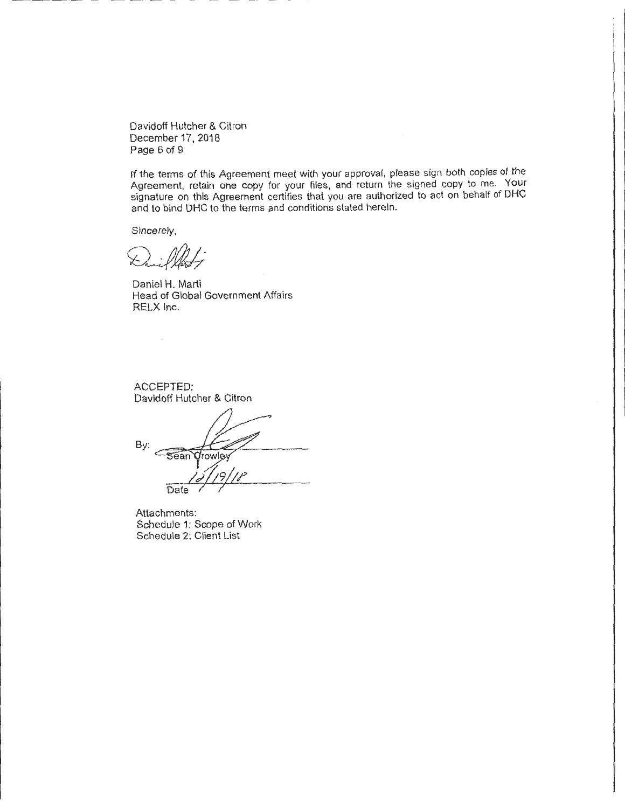Davidoff Hutcher & Citron December 17. 2018 Page 6 of 9

If the terms of this Agreement meet with your approval, please sign both copies of the Agreement, retain one copy for your files, and return the signed copy to me. Your signature on this Agreement certifies that you are authorized to act on behalf of DHC and to bind DHC to the terms and conditions stated herein.

Sincerely,

 $\angle$ 

Daniel H. Marti Head of Global Government Affairs RELX Inc.

ACCEPTED: Davidoff Hutcher & Citron

By: Sean *Qrowley* v1L9/ff  $\frac{1}{\frac{1}{2} \frac{1}{1} \frac{9}{1}}$ 

Attachments: Schedule 1: Scope of Work Schedule 2: Client List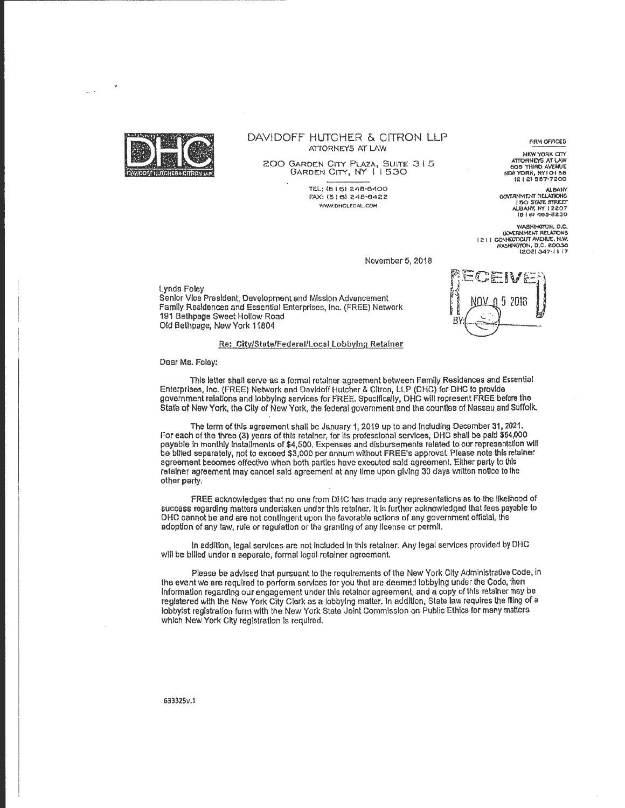

-------------------- - --------

#### DAVIDOFF HUTCHER & CITRON LLP ATIORNEYS AT LAW

200 GARDEN CITY PLAZA, SUITE 315<br>GARDEN CITY, NY 11530

TEL: (6 I 6) 248·6400 f"AX: (!5 161 248·64<!2 WWW.DHCLEGAL.COM

**FIRM OFFICES** 

NEW YORK CITY A'ITORHCYS AT *V.W* 605 lHlRD AVENUE NEW YORK, NYIOI 58<br>121 21 557-7200

ALBANY<br>GOVERNMENT RELATIONS GOVOINMENT AElATIOtiS I 50 STATE: :mu:Er IILSANf, *N'f* I 2207 10 I C!l 'lOC!·62:;)0

WASHINGTON, D.C.<br>GOVERNMENT RELATIONS I 2 I I CONHECTICUT AVENUE, N.W.<br>WASHINGTON, D.C. 20036<br>(202) 347·11 17

EV

5 2018

November 5, 2018

#### Lynda Foley Senior Vice President, Development and Mission Advancement Family Residences and Essential Enterprises, Inc. (FREE) Network 191 Bethpage Sweet Hollow Road Old Bethpage, New York 11804

#### Re: City/State/Federal/Local Lobbying Retainer

Dear Ms. Foley:

This letter shall serve as a formal retainer agreement between Family Residences and Essential Enterprises, Inc. (FREE) Network and Davidoff Hutcher & Citron, LLP (DHC) for DHC to provide government relations and lobbying services for FREE. Speclflcally, DHC will represent FREE before the State of New York, the City of New York, the federal government and the counties of Nassau and Suffolk.

The term of this agreement shall be January 1, 2019 up to and Including December 31, 2021. For each of the three (3) years of this retainer, for lis professional servlces, DHC shall be paid \$64,000 payable In monthly Installments or \$4,500. Expenses and disbursements related to our representation will be billed separately, not to exceed \$3,000 per annum without FREE's approval. Please note this retainer agreement becomes effective when both parties have executed sald agreement. Either party to lhls retainer agreement may cancel said agreement at any time upon giving 30 days written notice to the other party.

FREE acknowledges that no one from DHC has made any representations as to the likelihood of success regarding matters undertaken under this retainer. It Is further acknowledged that fees payable to DHC cannot be and are not contingent upon the favorable actions of any government official, the adoption of any taw, rule or regulation or the granting of any license or permit.

In addition, legal services are not Included In this retainer. Any legal services provided by OHC will be billed under a separate, formal legal retainer agreement.

Please be advised that pursuant to the requirements of the New York City Administrative Code, in the event we are required to perform services for you that are deemed lobbying under the Code, then lnformaUon regarding our engagement under this retainer agreement, and a copy of this retainer may be registered with the New York City Clerk as a lobbying matter. In addiUon, State law requires the filing of a lobbyist registration form with the New York State Joint Commission on Public Ethics for many matters which New York City registration is required.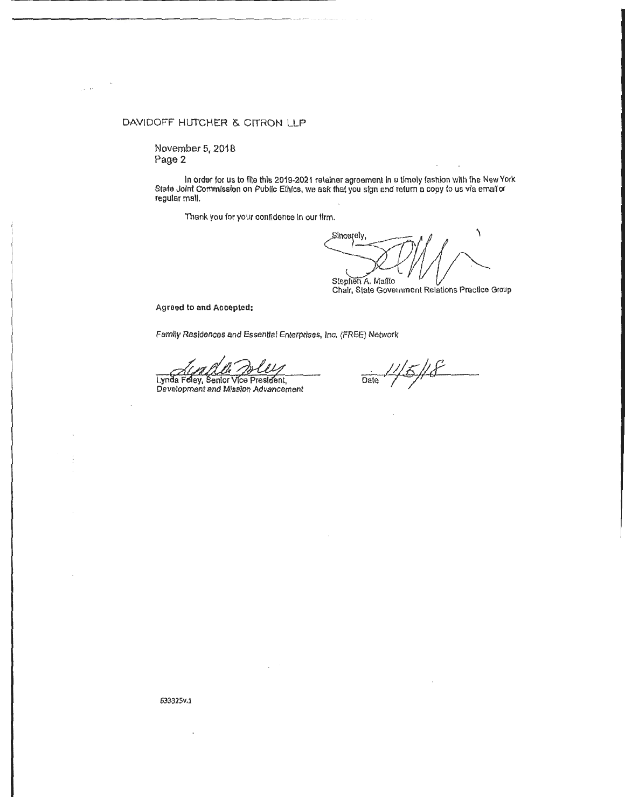## DAVIDOFF HUTCHER & CITRON LLP

November 5, 2018 Page 2

In order for us to file this 2019-2021 retainer agreement In a timely fashion with the New York Stale Joint Commission on Public Ethics, we ask that you sign and return a copy to us via email or regular mall.

Thank you for your confidence In our firm.

Sincerely, Stephen A. Mallto

Chair, State Government Relations Practice Group

Agrood to and Accepted:

Family Residences end Essential Enterprises, Inc. (FREE) Network

AUX ALU<br>Lynda Feley, Senior Vice President,<br>Development and Mission Advancement

5/18 Date

63332Sv.1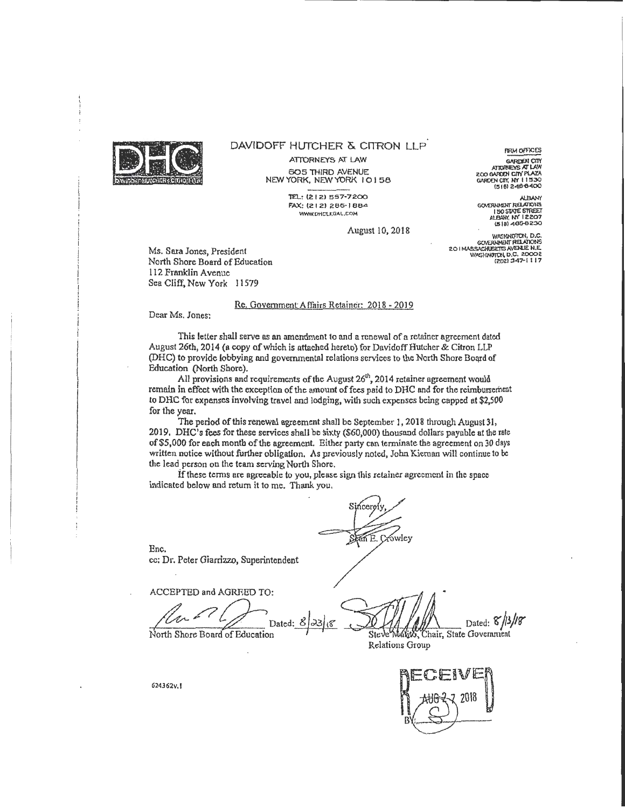

#### DAVIDOFF HUTCHER & CITRON LLP.

ATIORNEYS AT LAW 605 THIRD AVENUE NEW YORK, NEW YORK 10158

> TEl.: (2.1 2.) 557-7200 FAX: (212) 286-1884 WWW.DHCLEGAL.COM

zoo OA!UN CIIY~ GAilD£N CI!Y. *m* 1 1 !530 (51e1 Z4B-6400 *GOVERNMENT RELATIONS* 1505WE STRE£T M.BA!(( *t:f* 12207

(518) 465-8230

**FIRM OFFICES** GARDEN CITY

August 10,2018

WASHINGTON, D.C.<br>GOVERNMENT RELATIONS GOVERNMENT HELALMONS<br>201 MASSACHUSETTS AVENUE N.E.<br>WASHINGTON D.C. 20002<br>2021 347-1 117

Ms. Sara Jones, President North Shore Board of Education 112 Franklin A venue Sea Cliff, New York 11579

#### Rc. Government Affairs Retainer: 2018 - 2019

Dear Ms. Jones:

This letter shall serve as an amendment to and a renewal of a retainer agreement dated August 26th, 2014 (a copy of which is attached hereto) for Davidoff Hutcher & Citron LLP (DHC) to provide lobbying and governmental relations services to the North Shore Board of Education (North Shore).

All provisions and requirements of the August  $26<sup>th</sup>$ , 2014 retainer agreement would remain in effect with the exception of the amount of fees paid to DHC and for the reimbursement to DHC for expenses involving travel and lodging, with such expenses being capped at \$2,500 for the year.

The period of this renewal agreement shall be September l, 2018 through August31, 2019. DHC's fees for these services shall be sixty (\$60,000) thousand dollars payable at the rate of \$5,000 for each month of the agreement. Either party can terminate the agreement on 30 days written notice without further obligation. As previously noted, John Kiernan will continue to be the lead person on the team serving North Shore.

If these terms are agreeable to you, please sign this retainer agreement in the space indicated below and return it to me. Thank you,

Enc. cc: Dr. Peter Giarrizzo, Superintendent

Enc.<br>
cc: Dr. Peter Giarrizzo, Superintendent<br>
ACCEPTED and AGREED TO:<br>
Dated: *8*  $\frac{3}{3}$  .<br>
Dated: *8*  $\frac{13}{18}$ <br>
North Shore Board of Education<br>
Relations Group

Sincer

Relations Group



G24362v. l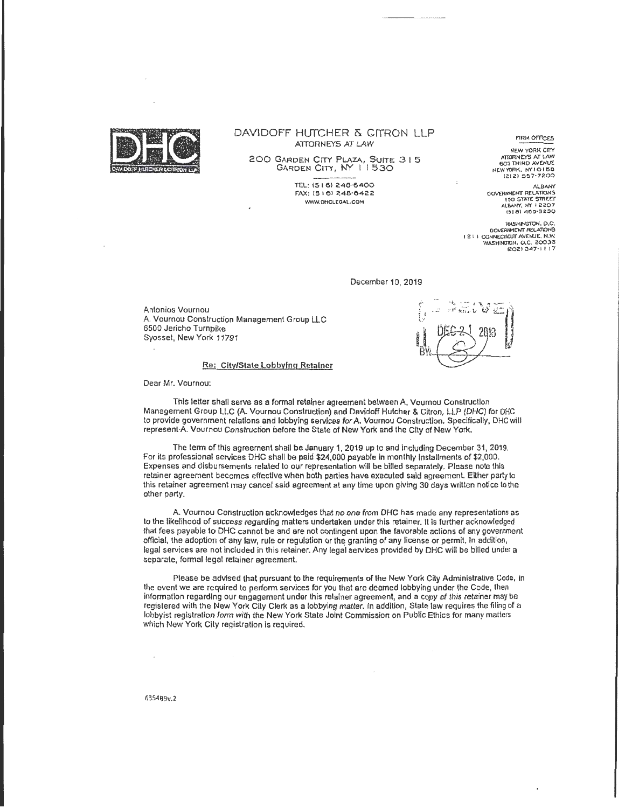

#### DAVIDOFF HUTCHER & CITRON LLP ATTORNEYS AT LAW

200 GARDEN CITY PLAZA, SUITE 315 GARDEN CITY, NY 11530

> TEL: (5 I 61 246·6400 FAX: (5 I 6l 248·0422 WWW. OHCLEGAL.COM

FIRM OFFICES

NEW YORK CITY ATTORNEYS AT LAW<br>605 THIRD AVENUE NEW YORK. NY I O 158 1Zl2l 557·7200

ALBANY<br>GOVERNMENT RELATIONS **150 STATE STREET** ALBANY. NY 12207<br>1518) 163-8230

WASHIMGTON, D.C.<br>GOVERNMENT RELATIONS<br>I 2 I J CONNECTICUT AVENUE. N.W.<br>WASHINGTON, Q,C. 20036<br>2021 347-1117

December 10, 2019

Antonios Vournou A. Vournou Construction Management Group LLC 6500 Jericho Turnpike Syosset, New York 11791

Re: City/State Lobbying Retainer

Dear Mr. Vournou:

This letter shall serve as a formal retainer agreement between A. Vournou Construction Management Group LLC (A. Vournou Construction) and Davidoff Hutcher & Citron, LLP (DHC) for DHC to provide government relations and lobbying services for A. Vournou Construction. Specifically, DHC will represent A Vournou Construction before the State of New York and the City of New York.

The term of this agreement shall be January 1, 2019 up to and including December 31, 2019. For its professional services DHC shall be paid \$24,000 payable in monthly Installments of \$2,000. Expenses and disbursements related to our representation will be billed separately. Please note this retainer agreement becomes effective when both parties have executed said agreement. Either party to this retainer agreement may cancel said agreement at any time upon giving 30 days written notice to the other party.

A. Vournou Construction acknowledges that no one from DHC has made any representations as to the likelihood of success regarding matters undertaken under this retainer. It is further acknowledged that fees payable to DHC cannot be and are not contingent upon the favorable actions of any government official, the adoption of any law, rule or regulation or the granting of any license or permit. In addition, legal services are not included in this retainer. Any legal services provided by DHC will be billed under a separate, formal legal retainer agreement.

Please be advised that pursuant to the requirements of the New York City Administrative Code, in the event we are required to perform services for you that are deemed lobbying under the Code, then information regarding our engagement under this retainer agreement, and a copy of this retainer may be registered with the New York City Clerk as a lobbying matter. In addition, State law requires the filing of a lobbyist registration form with the New York State Joint Commission on Public Ethics for many matters which New York City registration is required.

635489v.2

 $\bar{\mathbf{z}}$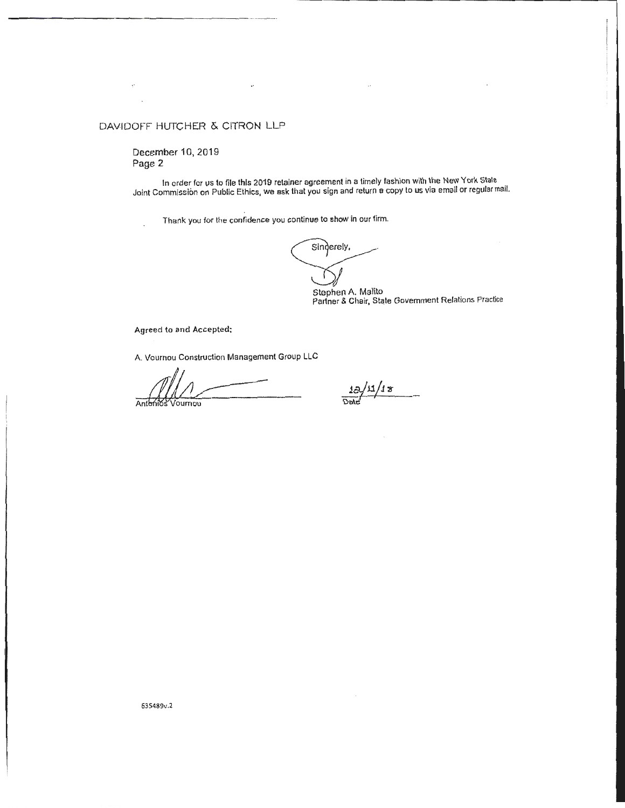# DAVIDOFF HUTCHER & CITRON LLP

December 10, 2019 Page 2

In order for us to file this 2019 retainer agreement in a timely fashion with the New York State Joint Commission on Public Ethics, we ask that you sign and return a copy to us via email or regular mail.

Thank you for the confidence you continue to show in our firm.

Singerely,

Stephen A. Malito<br>Partner & Chair, State Government Relations Practice

Agreed to and Accepted;

A. Vournou Construction Management Group LLC

Antonios Voumm

 $\frac{13/11/18}{20}$ 

635489v.2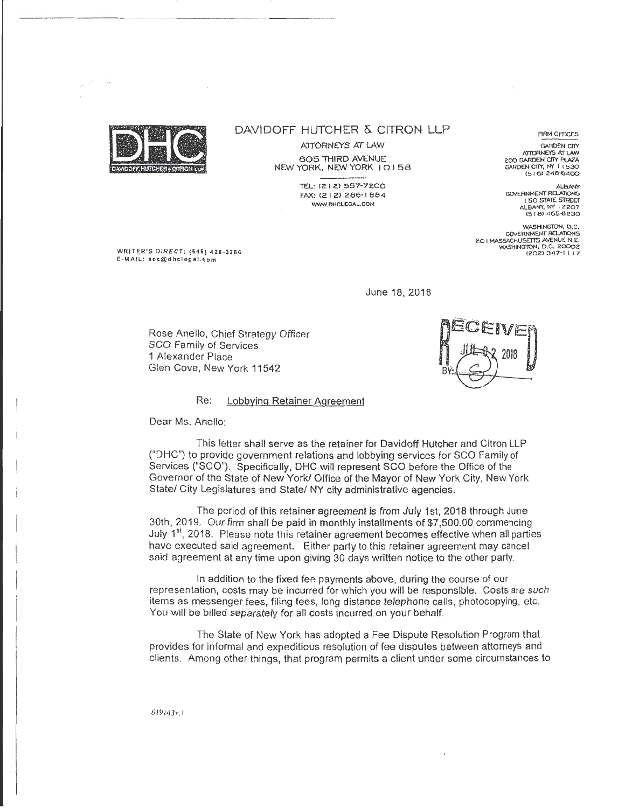

 $\mathbb{Z}_2$ 

 $\mathcal{L}^{\mathcal{L}}$ 

## DAVIDOFF HUTCHER & CITRON LLP

ATTORNEYS AT LAW

605 THIRD AVENUE NEW YORK, NEW YORK I 0 I 58

> TEL: (212) 557-7200 FAX: (2 I 2) 286·1 884 W\WI.DHCLEGAL.COM

FIRM OFFICES

GARDEN CITY<br>ATTORNEYS AT LAW 200 GARDEN CITY PLAZA GARDEN CIIY, N'f I I 530 (5 I 6) 248-6400

*/>J..BIW(*  GOVERNMENT REl.AllONS I 50 STATE STREET<br>ALBANY, NY 12207 (5 1 8) 465-8230

WASHINGTON, D.C. 20 I MASSACHUSETTS AVENUE N. E. WASHINGTON, D.C. 20002 1202) :l47· 1 I 17

WRITER'S DIRECT : (646) 428-3266 E-MAIL: scc@dhclegal . com

June 18, 2018

Rose Anello, Chief Strategy Officer SCO Family of Services 1 Alexander Place Glen Cove, New York 11542

#### Re: Lobbying Retainer Agreement

Dear Ms. Anello:

This letter shall serve as the retainer for Davidoff Hutcher and Citron LLP ("DHC") to provide government relations and lobbying services for SCO Family of Services ("SCO"). Specifically, DHC will represent SCO before the Office of the Governor of the State of New York! Office of the Mayor of New York City, NewYork State/ City Legislatures and State/ NY city administrative agencies.

The period of this retainer agreement is from July 1st, 2018 through June 30th, 2019. Our firm shall be paid in monthly installments of \$7,500.00 commencing July 1<sup>st</sup>, 2018. Please note this retainer agreement becomes effective when all parties have executed said agreement. Either party to this retainer agreement may cancel said agreement at any time upon giving 30 days written notice to the other party.

In addition to the fixed fee payments above, during the course of our representation, costs may be incurred for which you will be responsible. Costs are such items as messenger fees, filing fees, long distance telephone calls , photocopying, etc. You will be billed separately for all costs incurred on your behalf.

The State of New York has adopted a Fee Dispute Resolution Program that provides for informal and expeditious resolution of fee disputes between attorneys and clients. Among other things, that program permits a client under some circumstances to

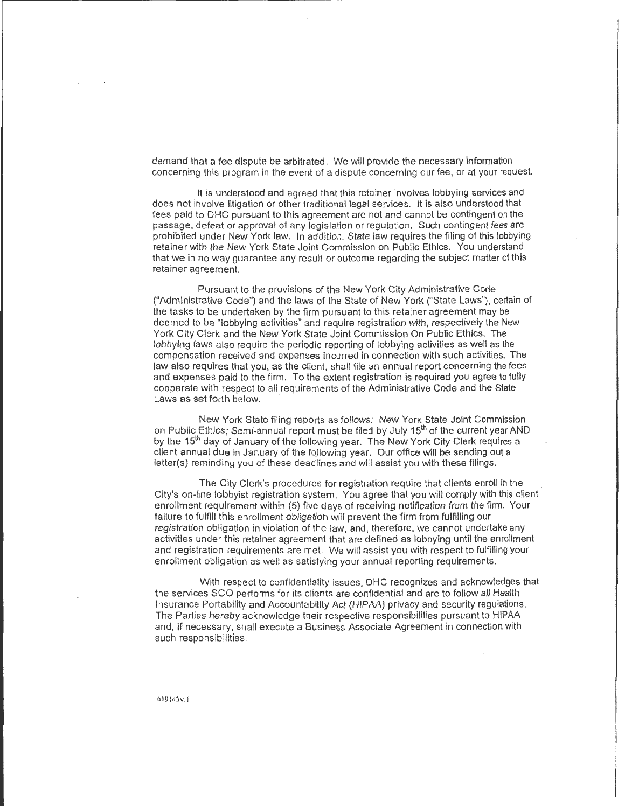demand that a fee dispute be arbitrated. We will provide the necessary information concerning this program in the event of a dispute concerning our fee, or at your request.

It is understood and agreed that this retainer involves lobbying services and does not involve litigation or other traditional legal services. It is also understood that fees paid to DHC pursuant to this agreement are not and cannot be contingent on the passage, defeat or approval of any legislation or regulation. Such contingent fees are prohibited under New York law. In addition, State law requires the filing of this lobbying retainer with the New York State Joint Commission on Public Ethics. You understand that we in no way guarantee any result or outcome regarding the subject matter of this retainer agreement.

Pursuant to the provisions of the New York City Administrative Code ("Administrative Code'') and the laws of the State of New York {"State Laws"), certain of the tasks to be undertaken by the firm pursuant to this retainer agreement may be deemed to be "lobbying activities" and require registration with, respectively the New York City Clerk and the New York State Joint Commission On Public Ethics. The lobbying laws also require the periodic reporting of lobbying activities as well as the compensation received and expenses incurred in connection with such activities. The law also requires that you, as the client, shall file an annual report concerning the fees and expenses paid to the firm. To the extent registration is required you agree to fully cooperate with respect to all requirements of the Administrative Code and the State Laws as set forth below.

New York State filing reports as follows: New York State Joint Commission on Public Ethics; Semi-annual report must be filed by July 15<sup>th</sup> of the current year AND by the 15<sup>th</sup> day of January of the following year. The New York City Clerk requires a client annual due in January of the following year. Our office will be sending out a letter(s) reminding you of these deadlines and will assist you with these filings.

The City Clerk's procedures for registration require that clients enroll in the City's on-line lobbyist registration system. You agree that you will comply with this client enrollment requirement within (5) five days of receiving notification from the firm. Your failure to fulfill this enrollment obligation will prevent the firm from fulfilling our registration obligation in violation of the law, and, therefore, we cannot undertake any activities under this retainer agreement that are defined as lobbying until the enrollment and registration requirements are met. We will assist you with respect to fulfilling your enrollment obligation as well as satisfying your annual reporting requirements.

With respect to confidentiality issues, DHC recognizes and acknowledges that the services SCO performs for its clients are confidential and are to follow all Health Insurance Portability and Accountability Act (HIPAA) privacy and security regulations. The Parties hereby acknowledge their respective responsibilities pursuant to HIPAA and, If necessary, shall execute a Business Associate Agreement in connection with such responsibilities .

619143v.1